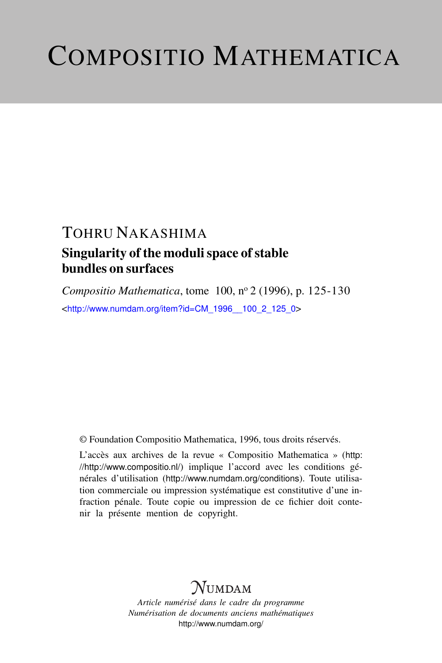# COMPOSITIO MATHEMATICA

### TOHRU NAKASHIMA Singularity of the moduli space of stable bundles on surfaces

*Compositio Mathematica*, tome 100, n<sup>o</sup> 2 (1996), p. 125-130 <[http://www.numdam.org/item?id=CM\\_1996\\_\\_100\\_2\\_125\\_0](http://www.numdam.org/item?id=CM_1996__100_2_125_0)>

© Foundation Compositio Mathematica, 1996, tous droits réservés.

L'accès aux archives de la revue « Compositio Mathematica » ([http:](http://http://www.compositio.nl/) [//http://www.compositio.nl/](http://http://www.compositio.nl/)) implique l'accord avec les conditions générales d'utilisation (<http://www.numdam.org/conditions>). Toute utilisation commerciale ou impression systématique est constitutive d'une infraction pénale. Toute copie ou impression de ce fichier doit contenir la présente mention de copyright.

## **NUMDAM**

*Article numérisé dans le cadre du programme Numérisation de documents anciens mathématiques* <http://www.numdam.org/>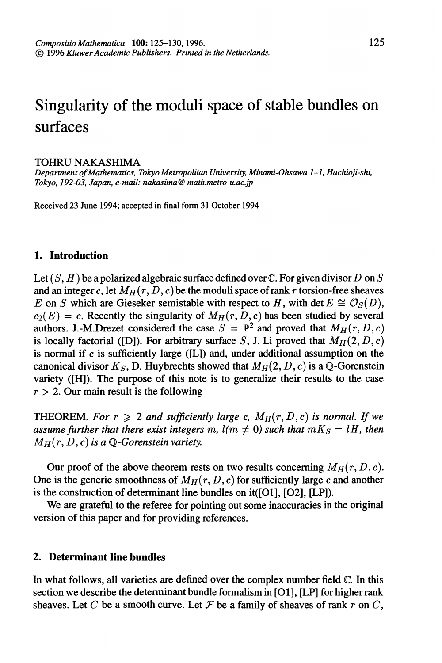## Singularity of the moduli space of stable bundles on surfaces

#### TOHRU NAKASHIMA

Department of Mathematics, Tokyo Metropolitan University, Minami-Ohsawa 1-1, Hachioji-shi, Tokyo, 192-03, Japan, e-mail: nakasima@ math.metro-u.ac.jp

Received 23 June 1994; accepted in final form 31 October 1994

#### 1. Introduction

Let  $(S, H)$  be a polarized algebraic surface defined over  $\mathbb C$ . For given divisor D on S and an integer c, let  $M_H(r, D, c)$  be the moduli space of rank r torsion-free sheaves E on S which are Gieseker semistable with respect to H, with det  $E \cong \mathcal{O}_S(D)$ ,  $c_2(E) = c$ . Recently the singularity of  $M_H(r, D, c)$  has been studied by several authors. J.-M.Drezet considered the case  $S = \mathbb{P}^2$  and proved that  $M_H(r, D, c)$ is locally factorial ([D]). For arbitrary surface S, J. Li proved that  $M_H(2, D, c)$ is normal if  $c$  is sufficiently large ([L]) and, under additional assumption on the canonical divisor  $K_S$ , D. Huybrechts showed that  $M_H(2, D, c)$  is a Q-Gorenstein variety ([H]). The purpose of this note is to generalize their results to the case  $r > 2$ . Our main result is the following

**THEOREM.** For  $r \geq 2$  and sufficiently large c,  $M_H(r, D, c)$  is normal. If we assume further that there exist integers m,  $l(m \neq 0)$  such that  $mK<sub>S</sub> = lH$ , then  $M_H(r, D, c)$  is a Q-Gorenstein variety.

Our proof of the above theorem rests on two results concerning  $M_H(r, D, c)$ . One is the generic smoothness of  $M_H(r, D, c)$  for sufficiently large c and another is the construction of determinant line bundles on it([O1], [O2], [LP]).

We are grateful to the referee for pointing out some inaccuracies in the original version of this paper and for providing references.

#### 2. Déterminant line bundles

In what follows, all varieties are defined over the complex number field C. In this section we describe the determinant bundle formalism in [01], [LP] for higher rank sheaves. Let C be a smooth curve. Let F be a family of sheaves of rank r on C,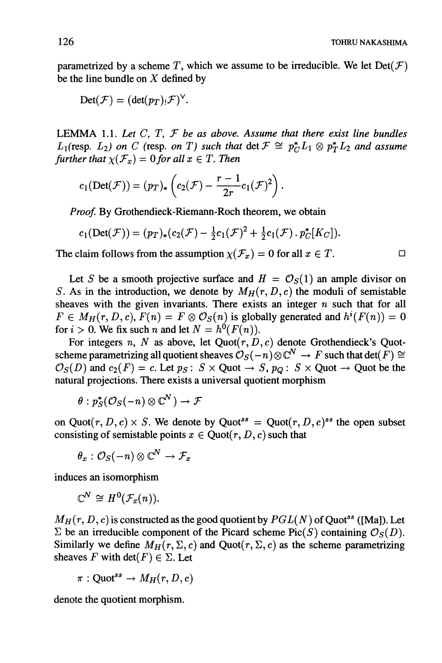parametrized by a scheme T, which we assume to be irreducible. We let  $Det(\mathcal{F})$ be the line bundle on  $X$  defined by

$$
Det(\mathcal{F}) = (det(p_T)_! \mathcal{F})^{\vee}.
$$

LEMMA 1.1. Let  $C, T, F$  be as above. Assume that there exist line bundles  $L_1$ (resp.  $L_2$ ) on C (resp. on T) such that det  $\mathcal{F} \cong p_C^*L_1 \otimes p_T^*L_2$  and assume further that  $\chi(\mathcal{F}_x) = 0$  for all  $x \in T$ . Then

$$
c_1(\mathrm{Det}(\mathcal{F})) = (p_T)_*\left(c_2(\mathcal{F}) - \frac{r-1}{2r}c_1(\mathcal{F})^2\right).
$$

Proof. By Grothendieck-Riemann-Roch theorem, we obtain

$$
c_1(\mathrm{Det}(\mathcal{F}))=(p_T)_*(c_2(\mathcal{F})-\tfrac{1}{2}c_1(\mathcal{F})^2+\tfrac{1}{2}c_1(\mathcal{F})\cdot p_C^*[K_C]).
$$

The claim follows from the assumption  $\chi(\mathcal{F}_x) = 0$  for all  $x \in T$ .

Let S be a smooth projective surface and  $H = \mathcal{O}_S(1)$  an ample divisor on S. As in the introduction, we denote by  $M_H(r, D, c)$  the moduli of semistable sheaves with the given invariants. There exists an integer  $n$  such that for all  $F \in M_H(r, D, c), F(n) = F \otimes \mathcal{O}_S(n)$  is globally generated and  $h^{i}(F(n)) = 0$ for  $i > 0$ . We fix such n and let  $N = h^{0}(F(n))$ .

For integers n, N as above, let  $Quot(r, D, c)$  denote Grothendieck's Quotscheme parametrizing all quotient sheaves  $\mathcal{O}_S(-n)\otimes \mathbb{C}^N \to F$  such that det( $\overline{F}$ )  $\cong$  $\mathcal{O}_S(D)$  and  $c_2(F) = c$ . Let  $p_S: S \times$  Quot  $\rightarrow S$ ,  $p_O: S \times$  Quot  $\rightarrow$  Quot be the natural projections. There exists a universal quotient morphism

$$
\theta:p^*_S(\mathcal{O}_S(-n)\otimes \mathbb{C}^N)\to \mathcal{F}
$$

on Quot $(r, D, c) \times S$ . We denote by Quot<sup>ss</sup> = Quot $(r, D, c)$ <sup>ss</sup> the open subset consisting of semistable points  $x \in$  Quot $(r, D, c)$  such that

$$
\theta_x:\mathcal{O}_S(-n)\otimes \mathbb{C}^N\to \mathcal{F}_x
$$

induces an isomorphism

$$
\mathbb{C}^N\cong H^0(\mathcal{F}_x(n)).
$$

 $M_H(r, D, c)$  is constructed as the good quotient by  $PGL(N)$  of Quot<sup>ss</sup> ([Ma]). Let  $\Sigma$  be an irreducible component of the Picard scheme Pic(S) containing  $\mathcal{O}_S(D)$ . Similarly we define  $M_H(r, \Sigma, c)$  and Quot $(r, \Sigma, c)$  as the scheme parametrizing sheaves F with  $\det(F) \in \Sigma$ . Let

$$
\pi:{\rm Quot}^{ss}\to M_H(r,D,c)
$$

denote the quotient morphism.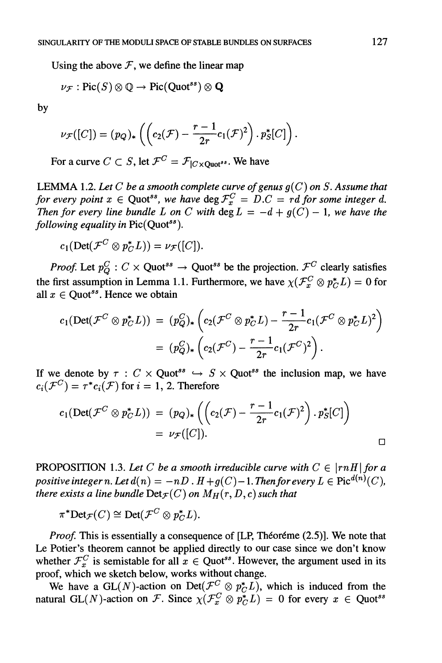Using the above  $\mathcal F$ , we define the linear map

$$
\nu_{\mathcal{F}}: {\rm Pic}(S)\otimes \mathbb{Q} \rightarrow {\rm Pic}({\rm Quot}^{ss})\otimes \mathbf{Q}
$$

by

$$
\nu_{\mathcal{F}}([C])=(p_Q)_*\left(\left(c_2(\mathcal{F})-\frac{r-1}{2r}c_1(\mathcal{F})^2\right).p_S^*[C]\right).
$$

For a curve  $C \subset S$ , let  $\mathcal{F}^C = \mathcal{F}_{|C \times \text{Quot}^{ss}}$ . We have

LEMMA 1.2. Let C be a smooth complete curve of genus  $q(C)$  on S. Assume that for every point  $x \in \text{Quot}^{ss}$ , we have  $\text{deg} \mathcal{F}^C_x = D.C = rd$  for some integer d. Then for every line bundle L on C with  $\deg L = -d + g(C) - 1$ , we have the following equality in  $Pic(Quot^{ss}).$ 

$$
c_1(\mathrm{Det}(\mathcal{F}^C\otimes p_C^*L))=\nu_{\mathcal{F}}([C]).
$$

*Proof.* Let  $p_O^C$ :  $C \times$  Quot<sup>ss</sup>  $\rightarrow$  Quot<sup>ss</sup> be the projection.  $\mathcal{F}^C$  clearly satisfies the first assumption in Lemma 1.1. Furthermore, we have  $\chi(\mathcal{F}^C_x \otimes p_C^*L) = 0$  for all  $x \in$  Quot<sup>ss</sup>. Hence we obtain

$$
c_1(\mathrm{Det}(\mathcal{F}^C \otimes p_C^* L)) = (p_Q^C)_* \left( c_2(\mathcal{F}^C \otimes p_C^* L) - \frac{r-1}{2r} c_1(\mathcal{F}^C \otimes p_C^* L)^2 \right)
$$
  
=  $(p_Q^C)_* \left( c_2(\mathcal{F}^C) - \frac{r-1}{2r} c_1(\mathcal{F}^C)^2 \right).$ 

If we denote by  $\tau : C \times \text{Quot}^{ss} \hookrightarrow S \times \text{Quot}^{ss}$  the inclusion map, we have  $c_i(\mathcal{F}^C) = \tau^*c_i(\mathcal{F})$  for  $i = 1, 2$ . Therefore

$$
c_1(\text{Det}(\mathcal{F}^C \otimes p_C^* L)) = (p_Q)_* \left( \left( c_2(\mathcal{F}) - \frac{r-1}{2r} c_1(\mathcal{F})^2 \right) \cdot p_S^*[C] \right)
$$
  
=  $\nu_{\mathcal{F}}([C]).$ 

PROPOSITION 1.3. Let C be a smooth irreducible curve with  $C \in |rnH|$  for a positive integer n. Let  $d(n) = -nD$  .  $H + g(C) - 1$ . Then for every  $L \in Pic^{d(n)}(C)$ , there exists a line bundle  $Det_{\mathcal{F}}(C)$  on  $M_H(r, D, c)$  such that

$$
\pi^* \text{Det}_{\mathcal{F}}(C) \cong \text{Det}(\mathcal{F}^C \otimes p_C^* L).
$$

Proof. This is essentially a consequence of [LP, Théoréme (2.5)]. We note that Le Potier's theorem cannot be applied directly to our case since we don't know whether  $\mathcal{F}^C_x$  is semistable for all  $x \in \text{Quot}^{ss}$ . However, the argument used in its proof, which we sketch below, works without change.

We have a GL(N)-action on Det( $\mathcal{F}^C \otimes p_C^* L$ ), which is induced from the natural GL(N)-action on F. Since  $\chi(\mathcal{F}_x^C \otimes p_C^* L) = 0$  for every  $x \in \text{Quot}^{ss}$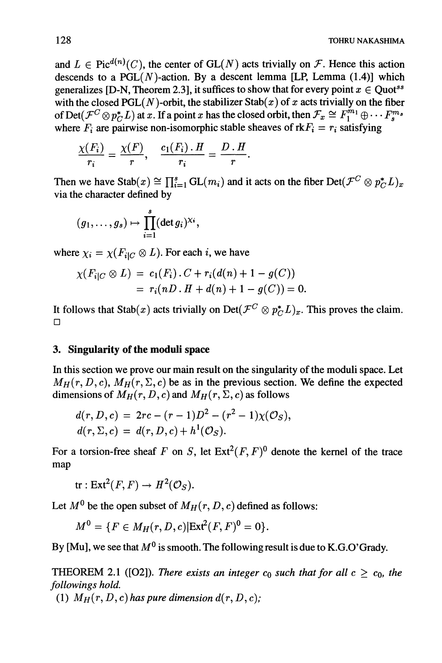and  $L \in Pic^{d(n)}(C)$ , the center of  $GL(N)$  acts trivially on F. Hence this action descends to a  $PGL(N)$ -action. By a descent lemma [LP, Lemma (1.4)] which generalizes [D-N, Theorem 2.3], it suffices to show that for every point  $x \in$  Quot<sup>ss</sup> with the closed  $PGL(N)$ -orbit, the stabilizer  $Stab(x)$  of x acts trivially on the fiber of Det( $\mathcal{F}^C \otimes p_C^* L$ ) at x. If a point x has the closed orbit, then  $\mathcal{F}_x \cong F_1^{m_1} \oplus \cdots F_s^{m_s}$ where  $F_i$  are pairwise non-isomorphic stable sheaves of rk $F_i = r_i$  satisfying

$$
\frac{\chi(F_i)}{r_i}=\frac{\chi(F)}{r}, \quad \frac{c_1(F_i)\cdot H}{r_i}=\frac{D\cdot H}{r}.
$$

Then we have  $\text{Stab}(x) \cong \prod_{i=1}^s GL(m_i)$  and it acts on the fiber  $\text{Det}(\mathcal{F}^C \otimes p_{\mathcal{F}}^*L)_x$ via the character defined by

$$
(g_1,\ldots,g_s)\mapsto \prod_{i=1}^s (\det g_i)^{\chi_i},
$$

where  $\chi_i = \chi(F_{i|C} \otimes L)$ . For each i, we have

$$
\chi(F_{i|C} \otimes L) = c_1(F_i) \cdot C + r_i(d(n) + 1 - g(C))
$$
  
=  $r_i(nD \cdot H + d(n) + 1 - g(C)) = 0$ 

It follows that Stab(x) acts trivially on Det( $\mathcal{F}^C \otimes p_C^* L_x$ . This proves the claim. **D** 

#### 3. Singularity of the moduli space

In this section we prove our main result on the singularity of the moduli space. Let  $M_H(r, D, c)$ ,  $M_H(r, \Sigma, c)$  be as in the previous section. We define the expected dimensions of  $M_H(r, D, c)$  and  $M_H(r, \Sigma, c)$  as follows

$$
d(r, D, c) = 2rc - (r - 1)D^{2} - (r^{2} - 1)\chi(\mathcal{O}_{S}),
$$
  

$$
d(r, \Sigma, c) = d(r, D, c) + h^{1}(\mathcal{O}_{S}).
$$

For a torsion-free sheaf F on S, let  $Ext^2(F, F)^0$  denote the kernel of the trace map

 $tr: Ext^2(F, F) \to H^2(\mathcal{O}_S).$ 

Let  $M^0$  be the open subset of  $M_H(r, D, c)$  defined as follows:

$$
M^{0} = \{ F \in M_H(r, D, c) | \text{Ext}^{2}(F, F)^{0} = 0 \}.
$$

By [Mu], we see that  $M^0$  is smooth. The following result is due to K.G.O' Grady.

THEOREM 2.1 ([O2]). There exists an integer  $c_0$  such that for all  $c \geq c_0$ , the followings hold.

(1)  $M_H(r, D, c)$  has pure dimension  $d(r, D, c)$ ;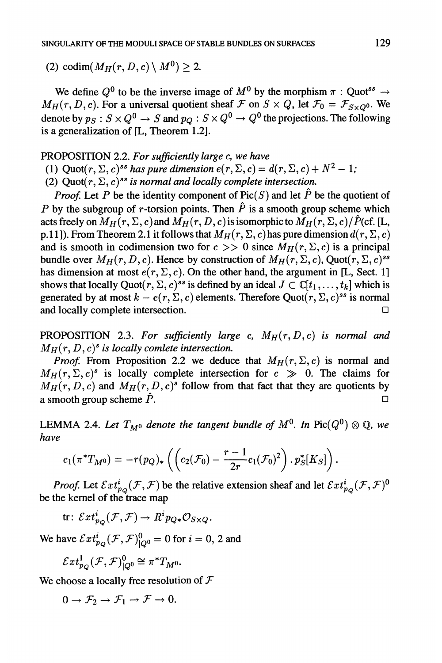(2) codim( $M_H(r, D, c) \setminus M^0$ ) > 2.

We define  $Q^0$  to be the inverse image of  $M^0$  by the morphism  $\pi$  : Quot<sup>ss</sup>  $\rightarrow$  $M_H(r, D, c)$ . For a universal quotient sheaf  $\mathcal F$  on  $S \times Q$ , let  $\mathcal F_0 = \mathcal F_{S \times Q^0}$ . We denote by  $p_S : S \times Q^0 \to S$  and  $p_Q : S \times Q^0 \to Q^0$  the projections. The following is a generalization of [L, Theorem 1.2].

#### PROPOSITION 2.2. For sufficiently large c, we have

(1) Quot $(r, \Sigma, c)^{ss}$  has pure dimension  $e(r, \Sigma, c) = d(r, \Sigma, c) + N^2 - 1$ ;

(2)  $Quot(r, \Sigma, c)^{ss}$  is normal and locally complete intersection.

*Proof.* Let P be the identity component of Pic(S) and let  $\hat{P}$  be the quotient of P by the subgroup of r-torsion points. Then  $\hat{P}$  is a smooth group scheme which acts freely on  $M_H(r, \Sigma, c)$  and  $M_H(r, D, c)$  is isomorphic to  $M_H(r, \Sigma, c)/\hat{P}(c\text{f.} | \text{L},$ p.11]). From Theorem 2.1 it follows that  $M_H(r, \Sigma, c)$  has pure dimension  $d(r, \Sigma, c)$ and is smooth in codimension two for  $c \gg 0$  since  $M_H(r, \Sigma, c)$  is a principal bundle over  $M_H(r, D, c)$ . Hence by construction of  $M_H(r, \Sigma, c)$ , Quot $(r, \Sigma, c)^{ss}$ has dimension at most  $e(r, \Sigma, c)$ . On the other hand, the argument in [L, Sect. 1] shows that locally Quot $(r, \Sigma, c)^{ss}$  is defined by an ideal  $J \subset \mathbb{C}[t_1, \ldots, t_k]$  which is generated by at most  $k - e(r, \Sigma, c)$  elements. Therefore Quot( $r, \Sigma, c$ )<sup>ss</sup> is normal and locally complete intersection.  $\Box$ 

PROPOSITION 2.3. For sufficiently large c,  $M_H(r, D, c)$  is normal and  $M_H(r, D, c)^s$  is locally comlete intersection.

*Proof.* From Proposition 2.2 we deduce that  $M_H(r, \Sigma, c)$  is normal and  $M_H(r, \Sigma, c)^s$  is locally complete intersection for  $c \gg 0$ . The claims for  $M_H(r, D, c)$  and  $M_H(r, D, c)<sup>s</sup>$  follow from that fact that they are quotients by a smooth group scheme  $\hat{P}$ .

LEMMA 2.4. Let  $T_{M^0}$  denote the tangent bundle of  $M^0$ . In Pic( $Q^0$ )  $\otimes$  Q, we have

$$
c_1(\pi^*T_{M^0}) = -r(p_Q)_*\left(\left(c_2(\mathcal{F}_0) - \frac{r-1}{2r}c_1(\mathcal{F}_0)^2\right) \cdot p_S^*[K_S]\right).
$$

*Proof.* Let  $\mathcal{E}xt_{p_Q}^i(\mathcal{F}, \mathcal{F})$  be the relative extension sheaf and let  $\mathcal{E}xt_{p_Q}^i(\mathcal{F}, \mathcal{F})^0$ be the kemel of the trace map

tr:  $\mathcal{E}xt_{p_{\alpha}}^{i}(\mathcal{F},\mathcal{F})\to R^{i}p_{Q*}\mathcal{O}_{S\times Q}.$ 

We have  $\mathcal{E}xt_{p_{\Omega}}^{i}(\mathcal{F},\mathcal{F})_{\Omega}^{0}=0$  for  $i=0,2$  and

$$
\mathcal{E}xt^1_{p_Q}(\mathcal{F},\mathcal{F})^0_{|Q^0}\cong \pi^*T_{M^0}.
$$

We choose a locally free resolution of  $\mathcal F$ 

 $0 \rightarrow \mathcal{F}_2 \rightarrow \mathcal{F}_1 \rightarrow \mathcal{F} \rightarrow 0.$